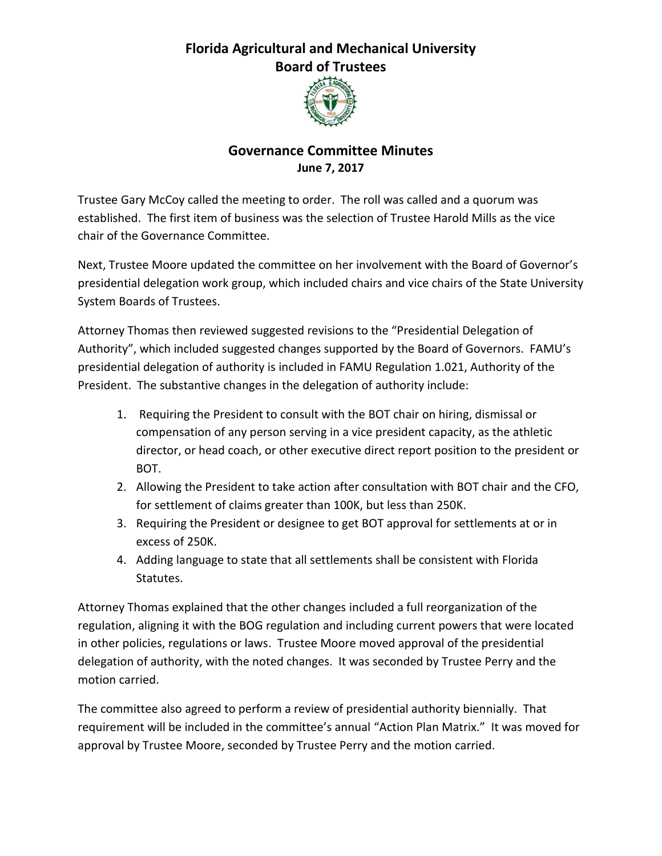## **Florida Agricultural and Mechanical University Board of Trustees**



## **Governance Committee Minutes June 7, 2017**

Trustee Gary McCoy called the meeting to order. The roll was called and a quorum was established. The first item of business was the selection of Trustee Harold Mills as the vice chair of the Governance Committee.

Next, Trustee Moore updated the committee on her involvement with the Board of Governor's presidential delegation work group, which included chairs and vice chairs of the State University System Boards of Trustees.

Attorney Thomas then reviewed suggested revisions to the "Presidential Delegation of Authority", which included suggested changes supported by the Board of Governors. FAMU's presidential delegation of authority is included in FAMU Regulation 1.021, Authority of the President. The substantive changes in the delegation of authority include:

- 1. Requiring the President to consult with the BOT chair on hiring, dismissal or compensation of any person serving in a vice president capacity, as the athletic director, or head coach, or other executive direct report position to the president or BOT.
- 2. Allowing the President to take action after consultation with BOT chair and the CFO, for settlement of claims greater than 100K, but less than 250K.
- 3. Requiring the President or designee to get BOT approval for settlements at or in excess of 250K.
- 4. Adding language to state that all settlements shall be consistent with Florida Statutes.

Attorney Thomas explained that the other changes included a full reorganization of the regulation, aligning it with the BOG regulation and including current powers that were located in other policies, regulations or laws. Trustee Moore moved approval of the presidential delegation of authority, with the noted changes. It was seconded by Trustee Perry and the motion carried.

The committee also agreed to perform a review of presidential authority biennially. That requirement will be included in the committee's annual "Action Plan Matrix." It was moved for approval by Trustee Moore, seconded by Trustee Perry and the motion carried.